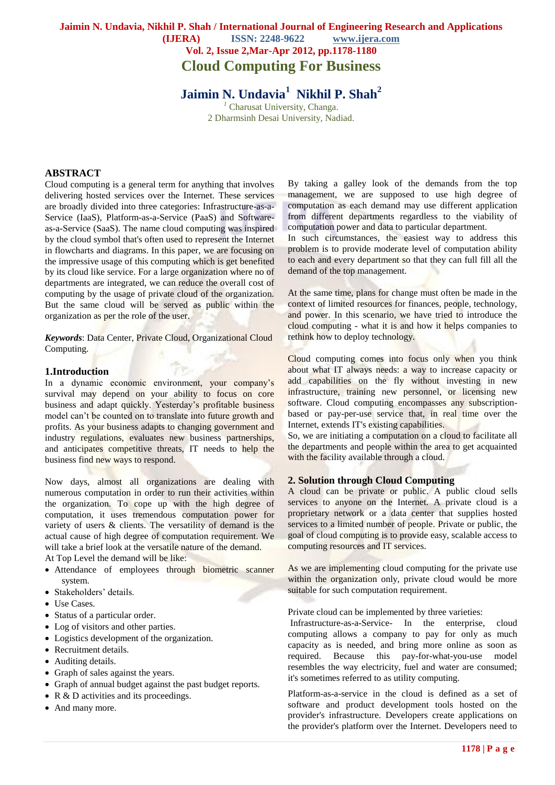# **Jaimin N. Undavia, Nikhil P. Shah / International Journal of Engineering Research and Applications (IJERA) ISSN: 2248-9622 www.ijera.com Vol. 2, Issue 2,Mar-Apr 2012, pp.1178-1180 Cloud Computing For Business**

**Jaimin N. Undavia<sup>1</sup> Nikhil P. Shah<sup>2</sup>** *<sup>1</sup>* Charusat University, Changa. 2 Dharmsinh Desai University, Nadiad.

#### **ABSTRACT**

Cloud computing is a general term for anything that involves delivering hosted services over the Internet. These services are broadly divided into three categories: Infrastructure-as-a-Service [\(IaaS\)](http://searchcloudcomputing.techtarget.com/sDefinition/0,290660,sid201_gci1358983,00.html), Platform-as-a-Service [\(PaaS\)](http://searchcloudcomputing.techtarget.com/sDefinition/0,,sid201_gci1332892,00.html) and Softwareas-a-Service [\(SaaS\)](http://searchcloudcomputing.techtarget.com/sDefinition/0,290660,sid201_gci1170781,00.html). The name cloud computing was inspired by the cloud symbol that's often used to represent the Internet in [flowcharts](http://whatis.techtarget.com/definition/0,,sid9_gci212134,00.html) and diagrams. In this paper, we are focusing on the impressive usage of this computing which is get benefited by its cloud like service. For a large organization where no of departments are integrated, we can reduce the overall cost of computing by the usage of private cloud of the organization. But the same cloud will be served as public within the organization as per the role of the user.

*Keywords*: Data Center, Private Cloud, Organizational Cloud Computing.

#### **1.Introduction**

In a dynamic economic environment, your company's survival may depend on your ability to focus on core business and adapt quickly. Yesterday's profitable business model can't be counted on to translate into future growth and profits. As your business adapts to changing government and industry regulations, evaluates new business partnerships, and anticipates competitive threats, IT needs to help the business find new ways to respond.

Now days, almost all organizations are dealing with numerous computation in order to run their activities within the organization. To cope up with the high degree of computation, it uses tremendous computation power for variety of users & clients. The versatility of demand is the actual cause of high degree of computation requirement. We will take a brief look at the versatile nature of the demand.

At Top Level the demand will be like:

- Attendance of employees through biometric scanner system.
- Stakeholders' details.
- Use Cases.
- Status of a particular order.
- Log of visitors and other parties.
- Logistics development of the organization.
- Recruitment details.
- Auditing details.
- Graph of sales against the years.
- Graph of annual budget against the past budget reports.
- R & D activities and its proceedings.
- And many more.

By taking a galley look of the demands from the top management, we are supposed to use high degree of computation as each demand may use different application from different departments regardless to the viability of computation power and data to particular department.

In such circumstances, the easiest way to address this problem is to provide moderate level of computation ability to each and every department so that they can full fill all the demand of the top management.

At the same time, plans for change must often be made in the context of limited resources for finances, people, technology, and power. In this scenario, we have tried to introduce the cloud computing - what it is and how it helps companies to rethink how to deploy technology.

Cloud computing comes into focus only when you think about what IT always needs: a way to increase capacity or add capabilities on the fly without investing in new infrastructure, training new personnel, or licensing new software. Cloud computing encompasses any subscriptionbased or pay-per-use service that, in real time over the Internet, extends IT's existing capabilities.

So, we are initiating a computation on a cloud to facilitate all the departments and people within the area to get acquainted with the facility available through a cloud.

#### **2. Solution through Cloud Computing**

A cloud can be private or public. A [public cloud](http://searchcloudcomputing.techtarget.com/sDefinition/0,,sid201_gci1356516,00.html) sells services to anyone on the Internet. A [private cloud](http://searchcloudcomputing.techtarget.com/sDefinition/0,,sid201_gci1333074,00.html) is a proprietary network or a data center that supplies hosted services to a limited number of people. Private or public, the goal of cloud computing is to provide easy, scalable access to computing resources and IT services.

As we are implementing cloud computing for the private use within the organization only, private cloud would be more suitable for such computation requirement.

Private cloud can be implemented by three varieties:

Infrastructure-as-a-Service- In the enterprise, cloud computing allows a company to pay for only as much capacity as is needed, and bring more online as soon as required. Because this pay-for-what-you-use model resembles the way electricity, fuel and water are consumed; it's sometimes referred to as utility computing.

Platform-as-a-service in the cloud is defined as a set of software and product development tools hosted on the provider's infrastructure. Developers create applications on the provider's platform over the Internet. Developers need to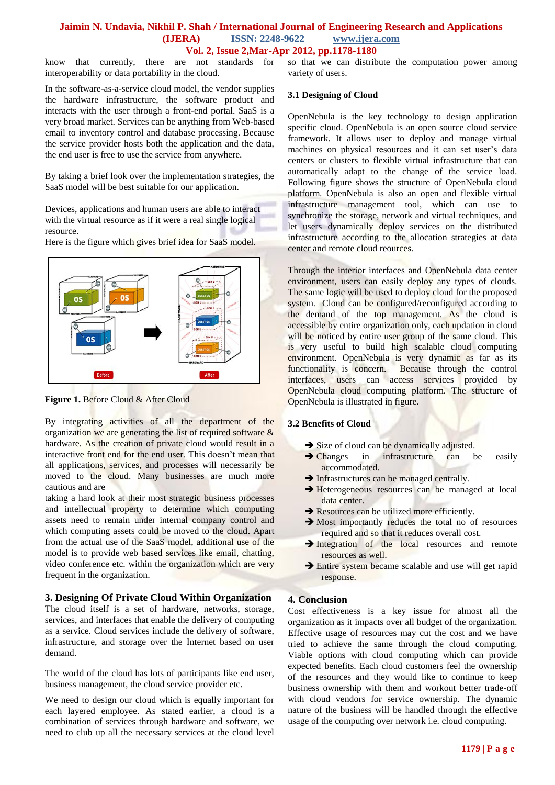#### **Jaimin N. Undavia, Nikhil P. Shah / International Journal of Engineering Research and Applications (IJERA) ISSN: 2248-9622 www.ijera.com Vol. 2, Issue 2,Mar-Apr 2012, pp.1178-1180**

know that currently, there are not standards for interoperability or data portability in the cloud.

In the software-as-a-service cloud model, the vendor supplies the hardware infrastructure, the software product and interacts with the user through a front-end portal. SaaS is a very broad market. Services can be anything from Web-based email to inventory control and database processing. Because the service provider hosts both the application and the data, the end user is free to use the service from anywhere.

By taking a brief look over the implementation strategies, the SaaS model will be best suitable for our application.

Devices, applications and human users are able to interact with the virtual resource as if it were a real single logical resource.



Here is the figure which gives brief idea for SaaS model.

Figure 1. Before Cloud & After Cloud

By integrating activities of all the department of the organization we are generating the list of required software  $\&$ hardware. As the creation of private cloud would result in a interactive front end for the end user. This doesn't mean that all applications, services, and processes will necessarily be moved to the cloud. Many businesses are much more cautious and are

taking a hard look at their most strategic business processes and intellectual property to determine which computing assets need to remain under internal company control and which computing assets could be moved to the cloud. Apart from the actual use of the SaaS model, additional use of the model is to provide web based services like email, chatting, video conference etc. within the organization which are very frequent in the organization.

#### **3. Designing Of Private Cloud Within Organization**

The cloud itself is a set of hardware, networks, storage, services, and interfaces that enable the delivery of computing as a service. Cloud services include the delivery of software, infrastructure, and storage over the Internet based on user demand.

The world of the cloud has lots of participants like end user, business management, the cloud service provider etc.

We need to design our cloud which is equally important for each layered employee. As stated earlier, a cloud is a combination of services through hardware and software, we need to club up all the necessary services at the cloud level so that we can distribute the computation power among variety of users.

#### **3.1 Designing of Cloud**

OpenNebula is the key technology to design application specific cloud. OpenNebula is an open source cloud service framework. It allows user to deploy and manage virtual machines on physical resources and it can set user's data centers or clusters to flexible virtual infrastructure that can automatically adapt to the change of the service load. Following figure shows the structure of OpenNebula cloud platform. OpenNebula is also an open and flexible virtual infrastructure management tool, which can use to synchronize the storage, network and virtual techniques, and let users dynamically deploy services on the distributed infrastructure according to the allocation strategies at data center and remote cloud reources.

Through the interior interfaces and OpenNebula data center environment, users can easily deploy any types of clouds. The same logic will be used to deploy cloud for the proposed system. Cloud can be configured/reconfigured according to the demand of the top management. As the cloud is accessible by entire organization only, each updation in cloud will be noticed by entire user group of the same cloud. This is very useful to build high scalable cloud computing environment. OpenNebula is very dynamic as far as its functionality is concern. Because through the control interfaces, users can access services provided by OpenNebula cloud computing platform. The structure of OpenNebula is illustrated in figure.

#### **3.2 Benefits of Cloud**

- Size of cloud can be dynamically adjusted.
- Changes in infrastructure can be easily accommodated.
- $\rightarrow$  Infrastructures can be managed centrally.
- Heterogeneous resources can be managed at local data center.
- Resources can be utilized more efficiently.
- Most importantly reduces the total no of resources required and so that it reduces overall cost.
- Integration of the local resources and remote resources as well.
- Entire system became scalable and use will get rapid response.

## **4. Conclusion**

Cost effectiveness is a key issue for almost all the organization as it impacts over all budget of the organization. Effective usage of resources may cut the cost and we have tried to achieve the same through the cloud computing. Viable options with cloud computing which can provide expected benefits. Each cloud customers feel the ownership of the resources and they would like to continue to keep business ownership with them and workout better trade-off with cloud vendors for service ownership. The dynamic nature of the business will be handled through the effective usage of the computing over network i.e. cloud computing.